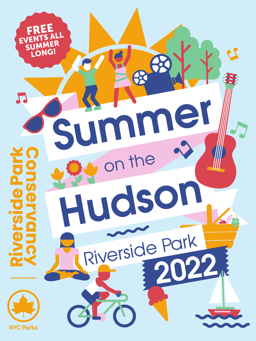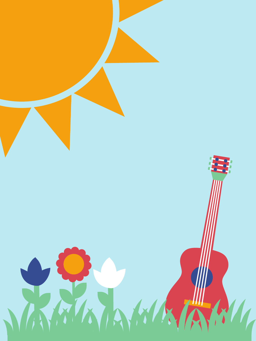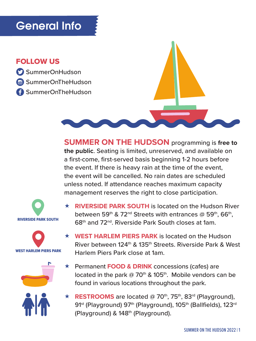# General Info

### FOLLOW US

- **SummerOnHudson**
- **6** SummerOnTheHudson
- **f** SummerOnTheHudson

**SUMMER ON THE HUDSON** programming is **free to the public**. Seating is limited, unreserved, and available on a first-come, first-served basis beginning 1-2 hours before the event. If there is heavy rain at the time of the event, the event will be cancelled. No rain dates are scheduled unless noted. If attendance reaches maximum capacity management reserves the right to close participation.

 **RIVERSIDE PARK SOUTH** is located on the Hudson River between 59<sup>th</sup> & 72<sup>nd</sup> Streets with entrances @ 59<sup>th</sup>, 66<sup>th</sup>, 68th and 72nd. Riverside Park South closes at 1am.











 $\star$  **RESTROOMS** are located @ 70<sup>th</sup>, 75<sup>th</sup>, 83<sup>rd</sup> (Playground), 91<sup>st</sup> (Playground) 97<sup>th</sup> (Playground), 105<sup>th</sup> (Ballfields), 123<sup>rd</sup> (Playground) & 148<sup>th</sup> (Playground).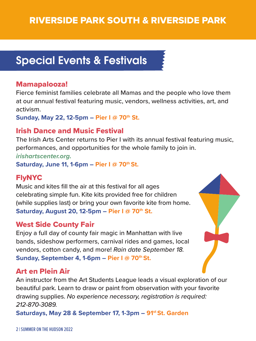# RIVERSIDE PARK SOUTH & RIVERSIDE PARK

# Special Events & Festivals

### Mamapalooza!

Fierce feminist families celebrate all Mamas and the people who love them at our annual festival featuring music, vendors, wellness activities, art, and activism.

Sunday, May 22, 12-5pm - Pier I @ 70<sup>th</sup> St.

### Irish Dance and Music Festival

The Irish Arts Center returns to Pier I with its annual festival featuring music, performances, and opportunities for the whole family to join in. *irishartscenter.org.*

Saturday, June 11, 1-6pm - Pier I @ 70<sup>th</sup> St.

### FlyNYC

Music and kites fill the air at this festival for all ages celebrating simple fun. Kite kits provided free for children (while supplies last) or bring your own favorite kite from home. Saturday, August 20, 12-5pm - Pier I @ 70<sup>th</sup> St.

### West Side County Fair

Enjoy a full day of county fair magic in Manhattan with live bands, sideshow performers, carnival rides and games, local vendors, cotton candy, and more! *Rain date September 18.* Sunday, September 4, 1-6pm – Pier I @ 70<sup>th</sup> St.

### Art en Plein Air

An instructor from the Art Students League leads a visual exploration of our beautiful park. Learn to draw or paint from observation with your favorite drawing supplies. *No experience necessary, registration is required: 212-870-3089.* 

Saturdays, May 28 & September 17, 1-3pm - 91<sup>st</sup> St. Garden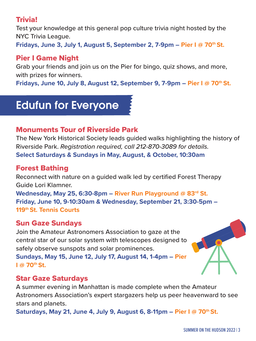### Trivia!

Test your knowledge at this general pop culture trivia night hosted by the NYC Trivia League.

**Fridays, June 3, July 1, August 5, September 2, 7-9pm – Pier I @ 70th St.**

### Pier I Game Night

Grab your friends and join us on the Pier for bingo, quiz shows, and more, with prizes for winners.

**Fridays, June 10, July 8, August 12, September 9, 7-9pm – Pier I @ 70th St.**

# Edufun for Everyone

### Monuments Tour of Riverside Park

The New York Historical Society leads guided walks highlighting the history of Riverside Park. *Registration required, call 212-870-3089 for details.*  **Select Saturdays & Sundays in May, August, & October, 10:30am** 

### Forest Bathing

Reconnect with nature on a guided walk led by certified Forest Therapy Guide Lori Klamner.

**Wednesday, May 25, 6:30-8pm – River Run Playground @ 83rd St. Friday, June 10, 9-10:30am & Wednesday, September 21, 3:30-5pm – 119th St. Tennis Courts**

### Sun Gaze Sundays

Join the Amateur Astronomers Association to gaze at the central star of our solar system with telescopes designed to safely observe sunspots and solar prominences.

**Sundays, May 15, June 12, July 17, August 14, 1-4pm – Pier I @ 70th St.**



### Star Gaze Saturdays

A summer evening in Manhattan is made complete when the Amateur Astronomers Association's expert stargazers help us peer heavenward to see stars and planets.

Saturdays, May 21, June 4, July 9, August 6, 8-11pm - Pier I @ 70<sup>th</sup> St.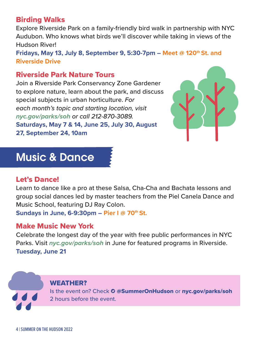### Birding Walks

Explore Riverside Park on a family-friendly bird walk in partnership with NYC Audubon. Who knows what birds we'll discover while taking in views of the Hudson River!

**Fridays, May 13, July 8, September 9, 5:30-7pm – Meet @ 120th St. and Riverside Drive**

### Riverside Park Nature Tours

Join a Riverside Park Conservancy Zone Gardener to explore nature, learn about the park, and discuss special subjects in urban horticulture. *For each month's topic and starting location, visit nyc.gov/parks/soh or call 212-870-3089.* **Saturdays, May 7 & 14, June 25, July 30, August 27, September 24, 10am** 



# Music & Dance

### Let's Dance!

Learn to dance like a pro at these Salsa, Cha-Cha and Bachata lessons and group social dances led by master teachers from the Piel Canela Dance and Music School, featuring DJ Ray Colon. Sundays in June, 6-9:30pm - Pier I @ 70<sup>th</sup> St.

### Make Music New York

Celebrate the longest day of the year with free public performances in NYC Parks. Visit *nyc.gov/parks/soh* in June for featured programs in Riverside. **Tuesday, June 21**

> WEATHER? Is the event on? Check O @SummerOnHudson or nyc.gov/parks/soh 2 hours before the event.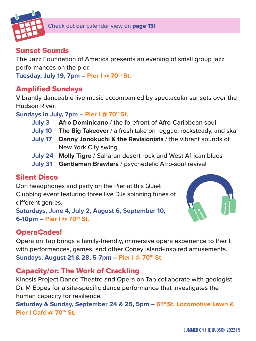

### Sunset Sounds

The Jazz Foundation of America presents an evening of small group jazz performances on the pier.

**Tuesday, July 19, 7pm – Pier I @ 70th St.**

### Amplified Sundays

Vibrantly danceable live music accompanied by spectacular sunsets over the Hudson River.

### Sundays in July, 7pm - Pier I @ 70<sup>th</sup> St.

- **July 3 Afro Dominicano** / the forefront of Afro-Caribbean soul
- **July 10 The Big Takeover** / a fresh take on reggae, rocksteady, and ska
- **July 17 Danny Jonokuchi & the Revisionists** / the vibrant sounds of New York City swing
- **July 24 Molly Tigre** / Saharan desert rock and West African blues
- **July 31 Gentleman Brawlers** / psychedelic Afro-soul revival

### Silent Disco

Don headphones and party on the Pier at this Quiet Clubbing event featuring three live DJs spinning tunes of different genres.

**Saturdays, June 4, July 2, August 6, September 10, 6-10pm – Pier I @ 70th St.**



### OperaCades!

Opera on Tap brings a family-friendly, immersive opera experience to Pier I, with performances, games, and other Coney Island-inspired amusements. Sundays, August 21 & 28, 5-7pm - Pier I @ 70<sup>th</sup> St.

### Capacity/or: The Work of Crackling

Kinesis Project Dance Theatre and Opera on Tap collaborate with geologist Dr. M Eppes for a site-specific dance performance that investigates the human capacity for resilience.

**Saturday & Sunday, September 24 & 25, 5pm – 61st St. Locomotive Lawn & Pier I Café @ 70th St.**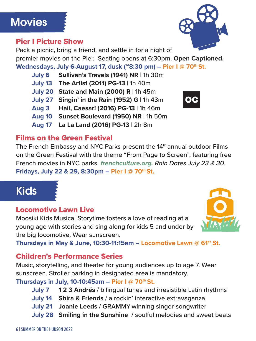### 6 | SUMMER ON THE HUDSON 2022

### Pier I Picture Show

**Movies** 

Pack a picnic, bring a friend, and settle in for a night of

premier movies on the Pier. Seating opens at 6:30pm. **Open Captioned.** 

**Wednesdays, July 6-August 17, dusk (~8:30 pm) – Pier I @ 70th St.**

- **July 6 Sullivan's Travels (1941) NR** | 1h 30m
- **July 13 The Artist (2011) PG-13** | 1h 40m
- **July 20 State and Main (2000) R** | 1h 45m
- **July 27 Singin' in the Rain (1952) G** | 1h 43m
- **Aug 3 Hail, Caesar! (2016) PG-13** | 1h 46m
- **Aug 10 Sunset Boulevard (1950) NR** | 1h 50m
- **Aug 17 La La Land (2016) PG-13** | 2h 8m

### Films on the Green Festival

The French Embassy and NYC Parks present the 14<sup>th</sup> annual outdoor Films on the Green Festival with the theme "From Page to Screen", featuring free French movies in NYC parks. *frenchculture.org. Rain Dates July 23 & 30.* Fridays, July 22 & 29, 8:30pm - Pier I @ 70<sup>th</sup> St.

# Kids

### Locomotive Lawn Live

Moosiki Kids Musical Storytime fosters a love of reading at a young age with stories and sing along for kids 5 and under by the big locomotive. Wear sunscreen.

**Thursdays in May & June, 10:30-11:15am – Locomotive Lawn @ 61st St.**

### Children's Performance Series

Music, storytelling, and theater for young audiences up to age 7. Wear sunscreen. Stroller parking in designated area is mandatory.

**Thursdays in July, 10-10:45am – Pier I @ 70th St.**

- **July 7 1 2 3 Andrés** / bilingual tunes and irresistible Latin rhythms
- **July 14 Shira & Friends** / a rockin' interactive extravaganza
- **July 21 Joanie Leeds** / GRAMMY-winning singer-songwriter
- **July 28 Smiling in the Sunshine** / soulful melodies and sweet beats





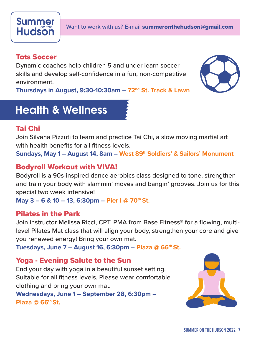

### Tots Soccer

Dynamic coaches help children 5 and under learn soccer skills and develop self-confidence in a fun, non-competitive environment.

**Thursdays in August, 9:30-10:30am – 72nd St. Track & Lawn**



### Tai Chi

Join Silvana Pizzuti to learn and practice Tai Chi, a slow moving martial art with health benefits for all fitness levels.

Sundays, May 1 - August 14, 8am - West 89<sup>th</sup> Soldiers' & Sailors' Monument

### Bodyroll Workout with VIVA!

Bodyroll is a 90s-inspired dance aerobics class designed to tone, strengthen and train your body with slammin' moves and bangin' grooves. Join us for this special two week intensive!

**May 3 – 6 & 10 – 13, 6:30pm – Pier I @ 70th St.**

### Pilates in the Park

Join instructor Melissa Ricci, CPT, PMA from Base Fitness® for a flowing, multilevel Pilates Mat class that will align your body, strengthen your core and give you renewed energy! Bring your own mat.

**Tuesdays, June 7 – August 16, 6:30pm – Plaza @ 66th St.** 

### Yoga - Evening Salute to the Sun

End your day with yoga in a beautiful sunset setting. Suitable for all fitness levels. Please wear comfortable clothing and bring your own mat.

**Wednesdays, June 1 – September 28, 6:30pm – Plaza @ 66th St.**

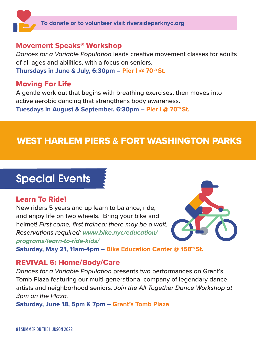

### **Movement Speaks**® Workshop

*Dances for a Variable Population* leads creative movement classes for adults of all ages and abilities, with a focus on seniors. Thursdays in June & July,  $6:30$ pm – Pier I @  $70<sup>th</sup>$  St.

### Moving For Life

A gentle work out that begins with breathing exercises, then moves into active aerobic dancing that strengthens body awareness. Tuesdays in August & September, 6:30pm - Pier I @ 70<sup>th</sup> St.

## WEST HARLEM PIERS & FORT WASHINGTON PARKS

# Special Events

### Learn To Ride!

New riders 5 years and up learn to balance, ride, and enjoy life on two wheels. Bring your bike and helmet! *First come, first trained; there may be a wait. Reservations required: www.bike.nyc/education/ programs/learn-to-ride-kids/*

**Saturday, May 21, 11am-4pm – Bike Education Center @ 158th St.** 

### REVIVAL 6: Home/Body/Care

*Dances for a Variable Population* presents two performances on Grant's Tomb Plaza featuring our multi-generational company of legendary dance artists and neighborhood seniors. *Join the All Together Dance Workshop at 3pm on the Plaza.*

**Saturday, June 18, 5pm & 7pm – Grant's Tomb Plaza**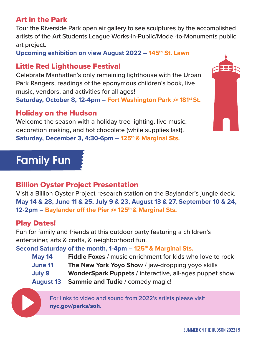### Art in the Park

Tour the Riverside Park open air gallery to see sculptures by the accomplished artists of the Art Students League Works-in-Public/Model-to-Monuments public art project.

Upcoming exhibition on view August 2022 - 145<sup>th</sup> St. Lawn

### Little Red Lighthouse Festival

Celebrate Manhattan's only remaining lighthouse with the Urban Park Rangers, readings of the eponymous children's book, live music, vendors, and activities for all ages! **Saturday, October 8, 12-4pm – Fort Washington Park @ 181st St.**

### Holiday on the Hudson

Welcome the season with a holiday tree lighting, live music, decoration making, and hot chocolate (while supplies last). Saturday, December 3, 4:30-6pm - 125<sup>th</sup> & Marginal Sts.

# Family Fun

### Billion Oyster Project Presentation

Visit a Billion Oyster Project research station on the Baylander's jungle deck. **May 14 & 28, June 11 & 25, July 9 & 23, August 13 & 27, September 10 & 24, 12-2pm – Baylander off the Pier @ 125th & Marginal Sts.** 

### Play Dates!

Fun for family and friends at this outdoor party featuring a children's entertainer, arts & crafts, & neighborhood fun.

Second Saturday of the month, 1-4pm - 125<sup>th</sup> & Marginal Sts.

| <b>Fiddle Foxes</b> / music enrichment for kids who love to rock |
|------------------------------------------------------------------|
| The New York Yoyo Show / jaw-dropping yoyo skills                |
| <b>WonderSpark Puppets / interactive, all-ages puppet show</b>   |
| <b>Sammie and Tudie / comedy magic!</b>                          |
|                                                                  |

For links to video and sound from 2022's artists please visit nyc.gov/parks/soh.

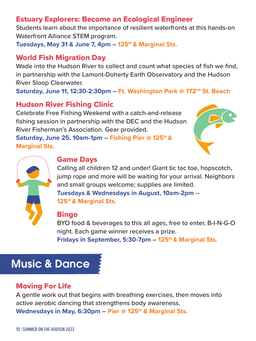### Estuary Explorers: Become an Ecological Engineer

Students learn about the importance of resilient waterfronts at this hands-on Waterfront Alliance STEM program.

Tuesdays, May 31 & June 7, 4pm - 125<sup>th</sup> & Marginal Sts.

### World Fish Migration Day

Wade into the Hudson River to collect and count what species of fish we find, in partnership with the Lamont-Doherty Earth Observatory and the Hudson River Sloop Clearwater.

**Saturday, June 11, 12:30-2:30pm – Ft. Washington Park @ 172nd St. Beach**

### Hudson River Fishing Clinic

Celebrate Free Fishing Weekend with a catch-and-release fishing session in partnership with the DEC and the Hudson River Fisherman's Association. Gear provided. **Saturday, June 25, 10am-1pm – Fishing Pier @ 125th & Marginal Sts.** 





### Game Days

Calling all children 12 and under! Giant tic tac toe, hopscotch, jump rope and more will be waiting for your arrival. Neighbors and small groups welcome; supplies are limited. **Tuesdays & Wednesdays in August, 10am-2pm – 125th & Marginal Sts.**

### Bingo

BYO food & beverages to this all ages, free to enter, B-I-N-G-O night. Each game winner receives a prize. **Fridays in September, 5:30-7pm – 125th & Marginal Sts.**

# Music & Dance

### Moving For Life

A gentle work out that begins with breathing exercises, then moves into active aerobic dancing that strengthens body awareness. **Wednesdays in May, 6:30pm – Pier @ 125th & Marginal Sts.**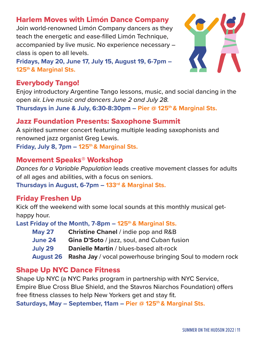### Harlem Moves with Limón Dance Company

Join world-renowned Limón Company dancers as they teach the energetic and ease-filled Limón Technique, accompanied by live music. No experience necessary – class is open to all levels.

**Fridays, May 20, June 17, July 15, August 19, 6-7pm – 125th & Marginal Sts.** 



### Everybody Tango!

Enjoy introductory Argentine Tango lessons, music, and social dancing in the open air. *Live music and dancers June 2 and July 28.* **Thursdays in June & July, 6:30-8:30pm – Pier @ 125th & Marginal Sts.**

### Jazz Foundation Presents: Saxophone Summit

A spirited summer concert featuring multiple leading saxophonists and renowned jazz organist Greg Lewis. Friday, July 8, 7pm - 125<sup>th</sup> & Marginal Sts.

### Movement Speaks® Workshop

*Dances for a Variable Population* leads creative movement classes for adults of all ages and abilities, with a focus on seniors. **Thursdays in August, 6-7pm – 133rd & Marginal Sts.** 

### Friday Freshen Up

Kick off the weekend with some local sounds at this monthly musical gethappy hour.

### Last Friday of the Month, 7-8pm - 125<sup>th</sup> & Marginal Sts.

| <b>May 27</b> | <b>Christine Chanel / indie pop and R&amp;B</b>                            |
|---------------|----------------------------------------------------------------------------|
| June 24       | Gina D'Soto / jazz, soul, and Cuban fusion                                 |
| July 29       | Danielle Martin / blues-based alt-rock                                     |
|               | <b>August 26 Rasha Jay / vocal powerhouse bringing Soul to modern rock</b> |

### Shape Up NYC Dance Fitness

Shape Up NYC (a NYC Parks program in partnership with NYC Service, Empire Blue Cross Blue Shield, and the Stavros Niarchos Foundation) offers free fitness classes to help New Yorkers get and stay fit. **Saturdays, May – September, 11am – Pier @ 125th & Marginal Sts.**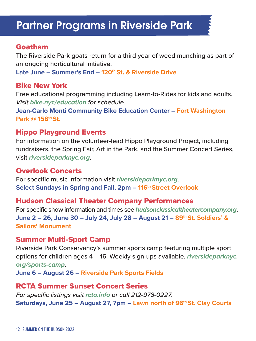# Partner Programs in Riverside Park

### Goatham

The Riverside Park goats return for a third year of weed munching as part of an ongoing horticultural initiative.

Late June – Summer's End – 120<sup>th</sup> St. & Riverside Drive

### Bike New York

Free educational programming including Learn-to-Rides for kids and adults. *Visit bike.nyc/education for schedule.*

**Jean-Carlo Monti Community Bike Education Center – Fort Washington Park @ 158th St.** 

### Hippo Playground Events

For information on the volunteer-lead Hippo Playground Project, including fundraisers, the Spring Fair, Art in the Park, and the Summer Concert Series, visit *riversideparknyc.org*.

### Overlook Concerts

For specific music information visit *riversideparknyc.org*. **Select Sundays in Spring and Fall, 2pm - 116<sup>th</sup> Street Overlook** 

### Hudson Classical Theater Company Performances

For specific show information and times see *hudsonclassicaltheatercompany.org*. **June 2 – 26, June 30 – July 24, July 28 – August 21 – 89th St. Soldiers' & Sailors' Monument**

### Summer Multi-Sport Camp

Riverside Park Conservancy's summer sports camp featuring multiple sport options for children ages 4 – 16. Weekly sign-ups available. *riversideparknyc. org/sports-camp*. **June 6 – August 26 – Riverside Park Sports Fields**

### RCTA Summer Sunset Concert Series

*For specific listings visit rcta.info or call 212-978-0227.*  Saturdays, June 25 - August 27, 7pm - Lawn north of 96<sup>th</sup> St. Clay Courts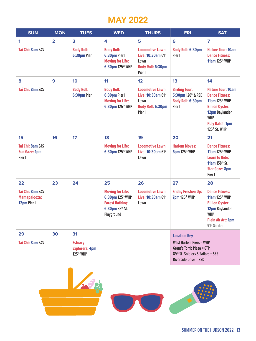## MAY 2022

| <b>SUN</b>                                               | <b>MON</b>     | <b>TUES</b>                                                            | <b>WED</b>                                                                                                               | <b>THURS</b>                                                                                            | <b>FRI</b>                                                                                                                                             | <b>SAT</b>                                                                                                                                                                          |
|----------------------------------------------------------|----------------|------------------------------------------------------------------------|--------------------------------------------------------------------------------------------------------------------------|---------------------------------------------------------------------------------------------------------|--------------------------------------------------------------------------------------------------------------------------------------------------------|-------------------------------------------------------------------------------------------------------------------------------------------------------------------------------------|
| 1<br>Tai Chi: 8am S&S                                    | $\overline{2}$ | 3<br><b>Body Roll:</b><br>6:30pm Pier I                                | 4<br><b>Body Roll:</b><br>6:30pm Pier I<br><b>Moving for Life:</b><br>6:30pm 125th WHP                                   | 5<br><b>Locomotive Lawn</b><br>Live: 10:30am 61st<br><b>L</b> awn<br><b>Body Roll: 6:30pm</b><br>Pier I | 6<br><b>Body Roll: 6:30pm</b><br>Pier I                                                                                                                | 7<br>Nature Tour: 10am<br><b>Dance Fitness:</b><br>11am 125 <sup>th</sup> WHP                                                                                                       |
| 8<br>Tai Chi: 8am S&S                                    | $\overline{9}$ | 10 <sup>10</sup><br><b>Body Roll:</b><br>6:30pm Pier I                 | 11<br><b>Body Roll:</b><br>6:30pm Pier I<br><b>Moving for Life:</b><br>6:30pm 125th WHP                                  | 12<br><b>Locomotive Lawn</b><br>Live: 10:30am 61st<br>Lawn<br>Body Roll: 6:30pm<br>Pier I               | 13 <sup>°</sup><br><b>Birding Tour:</b><br>5:30pm 120th & RSD<br><b>Body Roll: 6:30pm</b><br>Pier I                                                    | 14<br>Nature Tour: 10am<br><b>Dance Fitness:</b><br>11am 125 <sup>th</sup> WHP<br><b>Billion Oyster:</b><br>12pm Baylander<br><b>WHP</b><br><b>Play Date!: 1pm</b><br>125th St. WHP |
| 15<br>Tai Chi: 8am S&S<br><b>Sun Gaze: 1pm</b><br>Pier I | 16             | 17                                                                     | 18<br><b>Moving for Life:</b><br>6:30pm 125th WHP                                                                        | 19<br><b>Locomotive Lawn</b><br>Live: 10:30am 61st<br>Lawn                                              | 20<br><b>Harlem Moves:</b><br><b>6pm 125th WHP</b>                                                                                                     | 21<br><b>Dance Fitness:</b><br>11am 125 <sup>th</sup> WHP<br><b>Learn to Ride:</b><br>11am 158 <sup>th</sup> St.<br><b>Star Gaze: 8pm</b><br>Pier I                                 |
| 22<br>Tai Chi: 8am S&S<br>Mamapalooza:<br>12pm Pier I    | 23             | 24                                                                     | 25<br><b>Moving for Life:</b><br>6:30pm 125 <sup>th</sup> WHP<br><b>Forest Bathing:</b><br>6:30pm 83rd St.<br>Playground | 26<br><b>Locomotive Lawn</b><br>Live: 10:30am 61st<br>Lawn                                              | 27<br><b>Friday Freshen Up:</b><br><b>7pm 125th WHP</b>                                                                                                | 28<br><b>Dance Fitness:</b><br>11am 125 <sup>th</sup> WHP<br><b>Billion Oyster:</b><br>12pm Baylander<br><b>WHP</b><br><b>Plein Air Art: 1pm</b><br>91 <sup>st</sup> Garden         |
| 29<br>Tai Chi: 8am S&S                                   | 30             | 31<br><b>Estuary</b><br><b>Explorers: 4pm</b><br>125 <sup>th</sup> WHP |                                                                                                                          |                                                                                                         | <b>Location Key</b><br><b>West Harlem Piers = WHP</b><br>Grant's Tomb Plaza = GTP<br>89th St. Soldiers & Sailors = S&S<br><b>Riverside Drive = RSD</b> |                                                                                                                                                                                     |

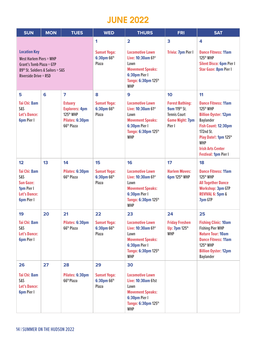## JUNE 2022

| <b>SUN</b>                                                                                                                                               | <b>MON</b> | <b>TUES</b>                                                                                                   | <b>WED</b>                                                      | <b>THURS</b>                                                                                                                          | <b>FRI</b>                                                                                                     | <b>SAT</b>                                                                                                                                                                                                                            |
|----------------------------------------------------------------------------------------------------------------------------------------------------------|------------|---------------------------------------------------------------------------------------------------------------|-----------------------------------------------------------------|---------------------------------------------------------------------------------------------------------------------------------------|----------------------------------------------------------------------------------------------------------------|---------------------------------------------------------------------------------------------------------------------------------------------------------------------------------------------------------------------------------------|
|                                                                                                                                                          |            |                                                                                                               | 1                                                               | $\overline{2}$                                                                                                                        | 3                                                                                                              | 4                                                                                                                                                                                                                                     |
| <b>Location Key</b><br><b>West Harlem Piers = WHP</b><br>Grant's Tomb Plaza = GTP<br>$89th$ St. Soldiers & Sailors = S&S<br><b>Riverside Drive = RSD</b> |            |                                                                                                               | <b>Sunset Yoga:</b><br>6:30pm 66th<br>Plaza                     | <b>Locomotive Lawn</b><br>Live: 10:30am 61st<br>Lawn<br><b>Movement Speaks:</b><br>6:30pm Pier I<br>Tango: 6:30pm 125th<br><b>WHP</b> | <b>Trivia: 7pm Pier I</b>                                                                                      | <b>Dance Fitness: 11am</b><br>125 <sup>th</sup> WHP<br>Silent Disco: 6pm Pier I<br>Star Gaze: 8pm Pier I                                                                                                                              |
| 5                                                                                                                                                        | 6          | 7                                                                                                             | 8                                                               | 9                                                                                                                                     | 10                                                                                                             | 11                                                                                                                                                                                                                                    |
| Tai Chi: 8am<br>S&S<br><b>Let's Dance:</b><br><b>6pm Pier I</b>                                                                                          |            | <b>Estuary</b><br><b>Explorers: 4pm</b><br>125 <sup>th</sup> WHP<br>Pilates: 6:30pm<br>66 <sup>th</sup> Plaza | <b>Sunset Yoga:</b><br>$6:30$ pm $66$ <sup>th</sup><br>Plaza    | <b>Locomotive Lawn</b><br>Live: 10:30am 61st<br>Lawn<br><b>Movement Speaks:</b><br>6:30pm Pier I<br>Tango: 6:30pm 125th<br><b>WHP</b> | <b>Forest Bathing:</b><br>9am 119 <sup>th</sup> St.<br><b>Tennis Court</b><br><b>Game Night: 7pm</b><br>Pier I | <b>Dance Fitness: 11am</b><br>125 <sup>th</sup> WHP<br><b>Billion Oyster: 12pm</b><br>Baylander<br>Fish Count: 12:30pm<br>172nd St.<br>Play Date!: 1pm 125th<br><b>WHP</b><br><b>Irish Arts Center</b><br><b>Festival: 1pm Pier I</b> |
| 12 <sup>2</sup>                                                                                                                                          | 13         | 14                                                                                                            | 15                                                              | 16                                                                                                                                    | 17                                                                                                             | 18                                                                                                                                                                                                                                    |
| Tai Chi: 8am<br>S&S<br><b>Sun Gaze:</b><br><b>1pm Pier I</b><br>Let's Dance:<br><b>6pm Pier I</b>                                                        |            | Pilates: 6:30pm<br>66 <sup>th</sup> Plaza                                                                     | <b>Sunset Yoga:</b><br>6:30pm 66th<br>Plaza                     | <b>Locomotive Lawn</b><br>Live: 10:30am 61st<br>Lawn<br><b>Movement Speaks:</b><br>6:30pm Pier I<br>Tango: 6:30pm 125th<br><b>WHP</b> | <b>Harlem Moves:</b><br>$6$ pm 125 <sup>th</sup> WHP                                                           | <b>Dance Fitness: 11am</b><br>125 <sup>th</sup> WHP<br><b>All Together Dance</b><br><b>Workshop: 3pm GTP</b><br>REVIVAL 6: 5pm &<br><b>7pm GTP</b>                                                                                    |
| 19                                                                                                                                                       | 20         | 21                                                                                                            | 22                                                              | 23                                                                                                                                    | 24                                                                                                             | 25                                                                                                                                                                                                                                    |
| Tai Chi: 8am<br><b>S&amp;S</b><br>Let's Dance:<br><b>6pm Pier I</b>                                                                                      |            | Pilates: 6:30pm<br>66 <sup>th</sup> Plaza                                                                     | <b>Sunset Yoga:</b><br>6:30pm 66th<br>Plaza                     | <b>Locomotive Lawn</b><br>Live: 10:30am 61st<br>lawn<br><b>Movement Speaks:</b><br>6:30pm Pier I<br>Tango: 6:30pm 125th<br><b>WHP</b> | <b>Friday Freshen</b><br>Up: 7pm 125th<br><b>WHP</b>                                                           | <b>Fishing Clinic: 10am</b><br><b>Fishing Pier WHP</b><br><b>Nature Tour: 10am</b><br><b>Dance Fitness: 11am</b><br>125 <sup>th</sup> WHP<br><b>Billion Oyster: 12pm</b><br>Baylander                                                 |
| 26                                                                                                                                                       | 27         | 28                                                                                                            | 29                                                              | 30                                                                                                                                    |                                                                                                                |                                                                                                                                                                                                                                       |
| Tai Chi: 8am<br>S&S<br>Let's Dance:<br><b>6pm Pier I</b>                                                                                                 |            | Pilates: 6:30pm<br>66 <sup>th</sup> Plaza                                                                     | <b>Sunset Yoga:</b><br>$6:30 \text{pm} 66^{\text{th}}$<br>Plaza | <b>Locomotive Lawn</b><br>Live: 10:30am 61st<br>Lawn<br><b>Movement Speaks:</b><br>6:30pm Pier I<br>Tango: 6:30pm 125th<br><b>WHP</b> |                                                                                                                |                                                                                                                                                                                                                                       |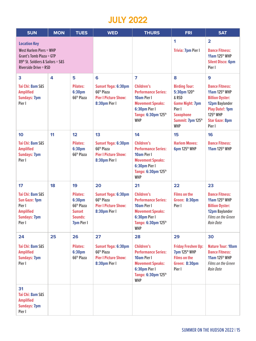### JULY 2022

| <b>SUN</b>                                                                                                                                             | <b>MON</b> | <b>TUES</b>                                                                                                            | <b>WED</b>                                                                                                 | <b>THURS</b>                                                                                                                                          |                                                                                                                                               | <b>SAT</b>                                                                                                                                                                                 |
|--------------------------------------------------------------------------------------------------------------------------------------------------------|------------|------------------------------------------------------------------------------------------------------------------------|------------------------------------------------------------------------------------------------------------|-------------------------------------------------------------------------------------------------------------------------------------------------------|-----------------------------------------------------------------------------------------------------------------------------------------------|--------------------------------------------------------------------------------------------------------------------------------------------------------------------------------------------|
| <b>Location Key</b><br><b>West Harlem Piers = WHP</b><br>Grant's Tomb Plaza = GTP<br>89th St. Soldiers & Sailors = S&S<br><b>Riverside Drive = RSD</b> |            |                                                                                                                        |                                                                                                            |                                                                                                                                                       | 1<br><b>Trivia: 7pm Pier I</b>                                                                                                                | $\overline{2}$<br><b>Dance Fitness:</b><br>11am 125 <sup>th</sup> WHP<br><b>Silent Disco: 6pm</b><br>Pier I                                                                                |
| з<br>Tai Chi: 8am S&S<br><b>Amplified</b><br><b>Sundays: 7pm</b><br>Pier I                                                                             | 4          | 5<br><b>Pilates:</b><br>6:30 <sub>pm</sub><br>66 <sup>th</sup> Plaza                                                   | 6<br>Sunset Yoga: 6:30pm<br>66 <sup>th</sup> Plaza<br><b>Pier I Picture Show:</b><br>8:30pm Pier I         | 7<br><b>Children's</b><br><b>Performance Series:</b><br>10am Pier I<br><b>Movement Speaks:</b><br>6:30pm Pier I<br>Tango: 6:30pm 125th<br><b>WHP</b>  | 8<br><b>Birding Tour:</b><br>5:30pm 120th<br>& RSD<br><b>Game Night: 7pm</b><br>Pier I<br><b>Saxophone</b><br>Summit: 7pm 125th<br><b>WHP</b> | 9<br><b>Dance Fitness:</b><br>11am 125 <sup>th</sup> WHP<br><b>Billion Oyster:</b><br>12pm Baylander<br><b>Play Date!: 1pm</b><br>125 <sup>th</sup> WHP<br><b>Star Gaze: 8pm</b><br>Pier I |
| 10 <sub>10</sub><br>Tai Chi: 8am S&S<br><b>Amplified</b><br><b>Sundays: 7pm</b><br>Pier I                                                              | 11         | 12 <sup>2</sup><br><b>Pilates:</b><br>6:30 <sub>pm</sub><br>66 <sup>th</sup> Plaza                                     | 13<br><b>Sunset Yoga: 6:30pm</b><br>66 <sup>th</sup> Plaza<br><b>Pier I Picture Show:</b><br>8:30pm Pier I | 14<br><b>Children's</b><br><b>Performance Series:</b><br>10am Pier I<br><b>Movement Speaks:</b><br>6:30pm Pier I<br>Tango: 6:30pm 125th<br><b>WHP</b> | 15<br><b>Harlem Moves:</b><br>6pm 125 <sup>th</sup> WHP                                                                                       | 16<br><b>Dance Fitness:</b><br>11am 125 <sup>th</sup> WHP                                                                                                                                  |
| 17<br>Tai Chi: 8am S&S<br>Sun Gaze: 1pm<br>Pier I<br><b>Amplified</b><br><b>Sundays: 7pm</b><br>Pier I                                                 | 18         | 19<br><b>Pilates:</b><br>6:30 <sub>pm</sub><br>66 <sup>th</sup> Plaza<br><b>Sunset</b><br>Sounds:<br><b>7pm Pier I</b> | 20<br><b>Sunset Yoga: 6:30pm</b><br>66 <sup>th</sup> Plaza<br><b>Pier I Picture Show:</b><br>8:30pm Pier I | 21<br><b>Children's</b><br><b>Performance Series:</b><br>10am Pier I<br><b>Movement Speaks:</b><br>6:30pm Pier I<br>Tango: 6:30pm 125th<br><b>WHP</b> | 22<br><b>Films on the</b><br>Green: 8:30pm<br>Pier I                                                                                          | 23<br><b>Dance Fitness:</b><br>11am 125 <sup>th</sup> WHP<br><b>Billion Oyster:</b><br>12pm Baylander<br>Films on the Green<br><b>Rain Date</b>                                            |
| 24<br>Tai Chi: 8am S&S<br><b>Amplified</b><br><b>Sundays: 7pm</b><br>Pier I                                                                            | 25         | 26<br><b>Pilates:</b><br>6:30 <sub>pm</sub><br>66 <sup>th</sup> Plaza                                                  | 27<br>Sunset Yoga: 6:30pm<br>66 <sup>th</sup> Plaza<br><b>Pier I Picture Show:</b><br>8:30pm Pier I        | 28<br><b>Children's</b><br><b>Performance Series:</b><br>10am Pier I<br><b>Movement Speaks:</b><br>6:30pm Pier I<br>Tango: 6:30pm 125th<br><b>WHP</b> | 29<br><b>Friday Freshen Up:</b><br><b>7pm 125th WHP</b><br><b>Films on the</b><br>Green: 8:30pm<br>Pier I                                     | 30<br><b>Nature Tour: 10am</b><br><b>Dance Fitness:</b><br>11am 125 <sup>th</sup> WHP<br>Films on the Green<br><b>Rain Date</b>                                                            |
| 31<br>Tai Chi: 8am S&S<br><b>Amplified</b><br><b>Sundays: 7pm</b><br>Pier I                                                                            |            |                                                                                                                        |                                                                                                            |                                                                                                                                                       |                                                                                                                                               |                                                                                                                                                                                            |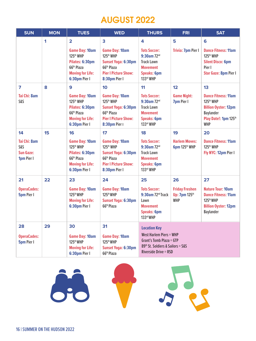## AUGUST 2022

| <b>SUN</b>                                                                     | <b>MON</b> | <b>TUES</b>                                                                                                                             | <b>WED</b>                                                                                                                                             | <b>THURS</b>                                                                                                                    | <b>FRI</b>                                           | <b>SAT</b>                                                                                                                             |
|--------------------------------------------------------------------------------|------------|-----------------------------------------------------------------------------------------------------------------------------------------|--------------------------------------------------------------------------------------------------------------------------------------------------------|---------------------------------------------------------------------------------------------------------------------------------|------------------------------------------------------|----------------------------------------------------------------------------------------------------------------------------------------|
|                                                                                | 1          | $\overline{2}$                                                                                                                          | 3                                                                                                                                                      | 4                                                                                                                               | 5                                                    | 6                                                                                                                                      |
|                                                                                |            | <b>Game Day: 10am</b><br>125 <sup>th</sup> WHP<br>Pilates: 6:30pm<br>66 <sup>th</sup> Plaza<br><b>Moving for Life:</b><br>6:30pm Pier I | <b>Game Day: 10am</b><br>125 <sup>th</sup> WHP<br><b>Sunset Yoga: 6:30pm</b><br>66 <sup>th</sup> Plaza<br><b>Pier I Picture Show:</b><br>8:30pm Pier I | <b>Tots Soccer:</b><br>$9:30$ am $72^{nd}$<br><b>Track Lawn</b><br><b>Movement</b><br><b>Speaks: 6pm</b><br>133rd WHP           | <b>Trivia: 7pm Pier I</b>                            | <b>Dance Fitness: 11am</b><br>125 <sup>th</sup> WHP<br><b>Silent Disco: 6pm</b><br>Pier I<br>Star Gaze: 8pm Pier I                     |
| 7                                                                              | 8          | 9                                                                                                                                       | 10 <sup>1</sup>                                                                                                                                        | 11                                                                                                                              | 12                                                   | 13                                                                                                                                     |
| <b>Tai Chi: 8am</b><br>S&S                                                     |            | <b>Game Day: 10am</b><br>125 <sup>th</sup> WHP<br>Pilates: 6:30pm<br>66 <sup>th</sup> Plaza<br><b>Moving for Life:</b><br>6:30pm Pier I | <b>Game Day: 10am</b><br>125 <sup>th</sup> WHP<br>Sunset Yoga: 6:30pm<br>66 <sup>th</sup> Plaza<br><b>Pier I Picture Show:</b><br>8:30pm Pier I        | <b>Tots Soccer:</b><br>$9:30$ am $72^{nd}$<br><b>Track Lawn</b><br><b>Movement</b><br><b>Speaks: 6pm</b><br>133rd WHP           | <b>Game Night:</b><br><b>7pm Pier I</b>              | <b>Dance Fitness: 11am</b><br>125 <sup>th</sup> WHP<br><b>Billion Oyster: 12pm</b><br>Baylander<br>Play Date!: 1pm 125th<br><b>WHP</b> |
| 14                                                                             | 15         | 16                                                                                                                                      | 17                                                                                                                                                     | 18                                                                                                                              | 19                                                   | 20                                                                                                                                     |
| <b>Tai Chi: 8am</b><br><b>S&amp;S</b><br><b>Sun Gaze:</b><br><b>1pm Pier I</b> |            | <b>Game Day: 10am</b><br>125 <sup>th</sup> WHP<br>Pilates: 6:30pm<br>66 <sup>th</sup> Plaza<br><b>Moving for Life:</b><br>6:30pm Pier I | <b>Game Day: 10am</b><br>125 <sup>th</sup> WHP<br>Sunset Yoga: 6:30pm<br>66 <sup>th</sup> Plaza<br><b>Pier I Picture Show:</b><br>8:30pm Pier I        | <b>Tots Soccer:</b><br>$9:30$ am 72 <sup>nd</sup><br><b>Track Lawn</b><br><b>Movement</b><br><b>Speaks: 6pm</b><br>133rd WHP    | <b>Harlem Moves:</b><br><b>6pm 125th WHP</b>         | <b>Dance Fitness: 11am</b><br>125 <sup>th</sup> WHP<br>Fly NYC: 12pm Pier I                                                            |
| 21                                                                             | 22         | 23                                                                                                                                      | 24                                                                                                                                                     | 25                                                                                                                              | 26                                                   | 27                                                                                                                                     |
| <b>OperaCades:</b><br><b>5pm Pier I</b>                                        |            | <b>Game Day: 10am</b><br>125th WHP<br><b>Moving for Life:</b><br>6:30pm Pier I                                                          | <b>Game Day: 10am</b><br>125 <sup>th</sup> WHP<br><b>Sunset Yoga: 6:30pm</b><br>66 <sup>th</sup> Plaza                                                 | <b>Tots Soccer:</b><br>9:30am 72 <sup>nd</sup> Track<br>Lawn<br><b>Movement</b><br><b>Speaks: 6pm</b><br>133rd WHP              | <b>Friday Freshen</b><br>Up: 7pm 125th<br><b>WHP</b> | Nature Tour: 10am<br><b>Dance Fitness: 11am</b><br>125 <sup>th</sup> WHP<br><b>Billion Oyster: 12pm</b><br>Baylander                   |
| 28                                                                             | 29         | 30                                                                                                                                      | 31                                                                                                                                                     | <b>Location Key</b>                                                                                                             |                                                      |                                                                                                                                        |
| <b>OperaCades:</b><br><b>5pm Pier I</b>                                        |            | <b>Game Day: 10am</b><br>125 <sup>th</sup> WHP<br><b>Moving for Life:</b><br>6:30pm Pier I                                              | <b>Game Day: 10am</b><br>125th WHP<br>Sunset Yoga: 6:30pm<br>66 <sup>th</sup> Plaza                                                                    | <b>West Harlem Piers = WHP</b><br>Grant's Tomb Plaza = GTP<br>89th St. Soldiers & Sailors = S&S<br><b>Riverside Drive = RSD</b> |                                                      |                                                                                                                                        |

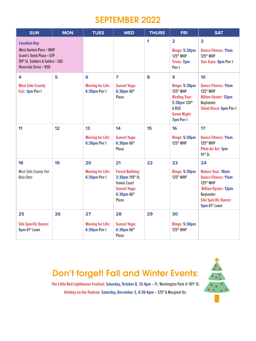## SEPTEMBER 2022

| <b>SUN</b>                                                                                                                                             | <b>MON</b> | <b>TUES</b>                                    | <b>WED</b>                                                                                                             | <b>THURS</b> | <b>FRI</b>                                                                                                                                     | <b>SAT</b>                                                                                                                                                                        |
|--------------------------------------------------------------------------------------------------------------------------------------------------------|------------|------------------------------------------------|------------------------------------------------------------------------------------------------------------------------|--------------|------------------------------------------------------------------------------------------------------------------------------------------------|-----------------------------------------------------------------------------------------------------------------------------------------------------------------------------------|
| <b>Location Key</b><br><b>West Harlem Piers = WHP</b><br>Grant's Tomb Plaza = GTP<br>89th St. Soldiers & Sailors = S&S<br><b>Riverside Drive = RSD</b> |            |                                                |                                                                                                                        | 1            | $\overline{2}$<br><b>Bingo: 5:30pm</b><br>125 <sup>th</sup> WHP<br><b>Trivia: 7pm</b><br>Pier I                                                | 3<br><b>Dance Fitness: 11am</b><br>125th WHP<br>Star Gaze: 8pm Pier I                                                                                                             |
| 4<br><b>West Side County</b><br>Fair: 1pm Pier I                                                                                                       | 5          | 6<br><b>Moving for Life:</b><br>6:30pm Pier I  | $\overline{7}$<br><b>Sunset Yoga:</b><br>6:30pm 66th<br>Plaza                                                          | 8            | 9<br><b>Bingo: 5:30pm</b><br>125 <sup>th</sup> WHP<br><b>Birding Tour:</b><br>5:30pm 120th<br>& RSD<br><b>Game Night:</b><br><b>7pm Pier I</b> | 10<br><b>Dance Fitness: 11am</b><br>125 <sup>th</sup> WHP<br><b>Billion Oyster: 12pm</b><br>Baylander<br>Silent Disco: 6pm Pier I                                                 |
| 11                                                                                                                                                     | 12         | 13<br><b>Moving for Life:</b><br>6:30pm Pier I | 14<br><b>Sunset Yoga:</b><br>6:30pm 66th<br>Plaza                                                                      | 15           | 16<br><b>Bingo: 5:30pm</b><br>125th WHP                                                                                                        | 17<br><b>Dance Fitness: 11am</b><br>125 <sup>th</sup> WHP<br><b>Plein Air Art: 1pm</b><br>91st St.                                                                                |
| 18<br>West Side County Fair<br><b>Rain Date</b>                                                                                                        | 19         | 20<br><b>Moving for Life:</b><br>6:30pm Pier I | 21<br><b>Forest Bathing:</b><br>3:30pm 119th St.<br><b>Tennis Court</b><br><b>Sunset Yoga:</b><br>6:30pm 66th<br>Plaza | 22           | 23<br><b>Bingo: 5:30pm</b><br>125th WHP                                                                                                        | 24<br><b>Nature Tour: 10am</b><br><b>Dance Fitness: 11am</b><br>125th WHP<br><b>Billion Oyster: 12pm</b><br>Baylander<br><b>Site Specific Dance:</b><br>5pm 61 <sup>st</sup> Lawn |
| 25<br><b>Site Specific Dance:</b><br>5pm 61 <sup>st</sup> Lawn                                                                                         | 26         | 27<br><b>Moving for Life:</b><br>6:30pm Pier I | 28<br><b>Sunset Yoga:</b><br>6:30pm 66th<br>Plaza                                                                      | 29           | 30<br><b>Bingo: 5:30pm</b><br>125 <sup>th</sup> WHP                                                                                            |                                                                                                                                                                                   |

# Don't forget! Fall and Winter Events:

The Little Red Lighthouse Festival: Saturday, October 8, 12-4pm - Ft. Washington Park @ 181<sup>st</sup> St. Holiday on the Hudson: Saturday, December 3, 4:30-6pm - 125<sup>th</sup> & Marginal Sts.